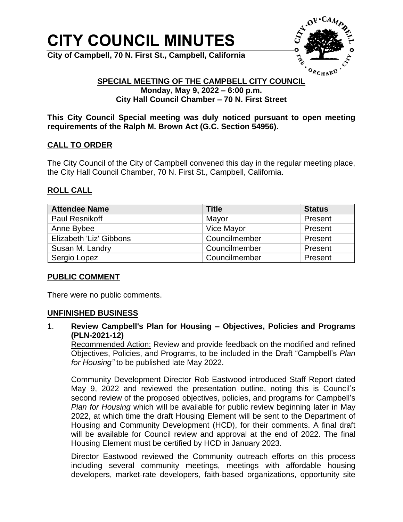# **CITY COUNCIL MINUTES**

**City of Campbell, 70 N. First St., Campbell, California**



#### **SPECIAL MEETING OF THE CAMPBELL CITY COUNCIL Monday, May 9, 2022 – 6:00 p.m. City Hall Council Chamber – 70 N. First Street**

**This City Council Special meeting was duly noticed pursuant to open meeting requirements of the Ralph M. Brown Act (G.C. Section 54956).**

## **CALL TO ORDER**

The City Council of the City of Campbell convened this day in the regular meeting place, the City Hall Council Chamber, 70 N. First St., Campbell, California.

## **ROLL CALL**

| <b>Attendee Name</b>    | <b>Title</b>  | <b>Status</b> |
|-------------------------|---------------|---------------|
| Paul Resnikoff          | Mayor         | Present       |
| Anne Bybee              | Vice Mayor    | Present       |
| Elizabeth 'Liz' Gibbons | Councilmember | Present       |
| Susan M. Landry         | Councilmember | Present       |
| Sergio Lopez            | Councilmember | Present       |

#### **PUBLIC COMMENT**

There were no public comments.

#### **UNFINISHED BUSINESS**

1. **Review Campbell's Plan for Housing – Objectives, Policies and Programs (PLN-2021-12)** 

Recommended Action: Review and provide feedback on the modified and refined Objectives, Policies, and Programs, to be included in the Draft "Campbell's *Plan for Housing"* to be published late May 2022.

Community Development Director Rob Eastwood introduced Staff Report dated May 9, 2022 and reviewed the presentation outline, noting this is Council's second review of the proposed objectives, policies, and programs for Campbell's *Plan for Housing* which will be available for public review beginning later in May 2022, at which time the draft Housing Element will be sent to the Department of Housing and Community Development (HCD), for their comments. A final draft will be available for Council review and approval at the end of 2022. The final Housing Element must be certified by HCD in January 2023.

Director Eastwood reviewed the Community outreach efforts on this process including several community meetings, meetings with affordable housing developers, market-rate developers, faith-based organizations, opportunity site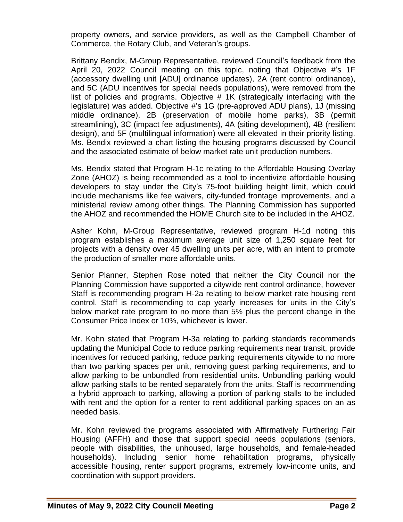property owners, and service providers, as well as the Campbell Chamber of Commerce, the Rotary Club, and Veteran's groups.

Brittany Bendix, M-Group Representative, reviewed Council's feedback from the April 20, 2022 Council meeting on this topic, noting that Objective #'s 1F (accessory dwelling unit [ADU] ordinance updates), 2A (rent control ordinance), and 5C (ADU incentives for special needs populations), were removed from the list of policies and programs. Objective # 1K (strategically interfacing with the legislature) was added. Objective #'s 1G (pre-approved ADU plans), 1J (missing middle ordinance), 2B (preservation of mobile home parks), 3B (permit streamlining), 3C (impact fee adjustments), 4A (siting development), 4B (resilient design), and 5F (multilingual information) were all elevated in their priority listing. Ms. Bendix reviewed a chart listing the housing programs discussed by Council and the associated estimate of below market rate unit production numbers.

Ms. Bendix stated that Program H-1c relating to the Affordable Housing Overlay Zone (AHOZ) is being recommended as a tool to incentivize affordable housing developers to stay under the City's 75-foot building height limit, which could include mechanisms like fee waivers, city-funded frontage improvements, and a ministerial review among other things. The Planning Commission has supported the AHOZ and recommended the HOME Church site to be included in the AHOZ.

Asher Kohn, M-Group Representative, reviewed program H-1d noting this program establishes a maximum average unit size of 1,250 square feet for projects with a density over 45 dwelling units per acre, with an intent to promote the production of smaller more affordable units.

Senior Planner, Stephen Rose noted that neither the City Council nor the Planning Commission have supported a citywide rent control ordinance, however Staff is recommending program H-2a relating to below market rate housing rent control. Staff is recommending to cap yearly increases for units in the City's below market rate program to no more than 5% plus the percent change in the Consumer Price Index or 10%, whichever is lower.

Mr. Kohn stated that Program H-3a relating to parking standards recommends updating the Municipal Code to reduce parking requirements near transit, provide incentives for reduced parking, reduce parking requirements citywide to no more than two parking spaces per unit, removing guest parking requirements, and to allow parking to be unbundled from residential units. Unbundling parking would allow parking stalls to be rented separately from the units. Staff is recommending a hybrid approach to parking, allowing a portion of parking stalls to be included with rent and the option for a renter to rent additional parking spaces on an as needed basis.

Mr. Kohn reviewed the programs associated with Affirmatively Furthering Fair Housing (AFFH) and those that support special needs populations (seniors, people with disabilities, the unhoused, large households, and female-headed households). Including senior home rehabilitation programs, physically accessible housing, renter support programs, extremely low-income units, and coordination with support providers.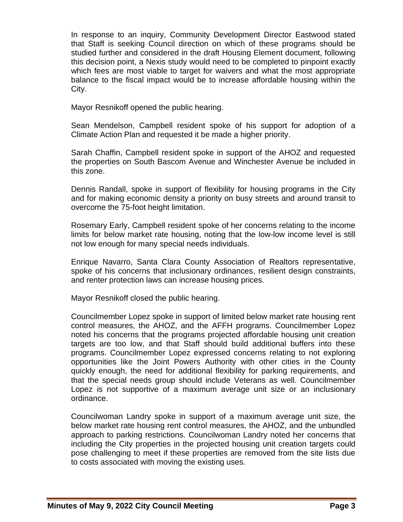In response to an inquiry, Community Development Director Eastwood stated that Staff is seeking Council direction on which of these programs should be studied further and considered in the draft Housing Element document, following this decision point, a Nexis study would need to be completed to pinpoint exactly which fees are most viable to target for waivers and what the most appropriate balance to the fiscal impact would be to increase affordable housing within the City.

Mayor Resnikoff opened the public hearing.

Sean Mendelson, Campbell resident spoke of his support for adoption of a Climate Action Plan and requested it be made a higher priority.

Sarah Chaffin, Campbell resident spoke in support of the AHOZ and requested the properties on South Bascom Avenue and Winchester Avenue be included in this zone.

Dennis Randall, spoke in support of flexibility for housing programs in the City and for making economic density a priority on busy streets and around transit to overcome the 75-foot height limitation.

Rosemary Early, Campbell resident spoke of her concerns relating to the income limits for below market rate housing, noting that the low-low income level is still not low enough for many special needs individuals.

Enrique Navarro, Santa Clara County Association of Realtors representative, spoke of his concerns that inclusionary ordinances, resilient design constraints, and renter protection laws can increase housing prices.

Mayor Resnikoff closed the public hearing.

Councilmember Lopez spoke in support of limited below market rate housing rent control measures, the AHOZ, and the AFFH programs. Councilmember Lopez noted his concerns that the programs projected affordable housing unit creation targets are too low, and that Staff should build additional buffers into these programs. Councilmember Lopez expressed concerns relating to not exploring opportunities like the Joint Powers Authority with other cities in the County quickly enough, the need for additional flexibility for parking requirements, and that the special needs group should include Veterans as well. Councilmember Lopez is not supportive of a maximum average unit size or an inclusionary ordinance.

Councilwoman Landry spoke in support of a maximum average unit size, the below market rate housing rent control measures, the AHOZ, and the unbundled approach to parking restrictions. Councilwoman Landry noted her concerns that including the City properties in the projected housing unit creation targets could pose challenging to meet if these properties are removed from the site lists due to costs associated with moving the existing uses.